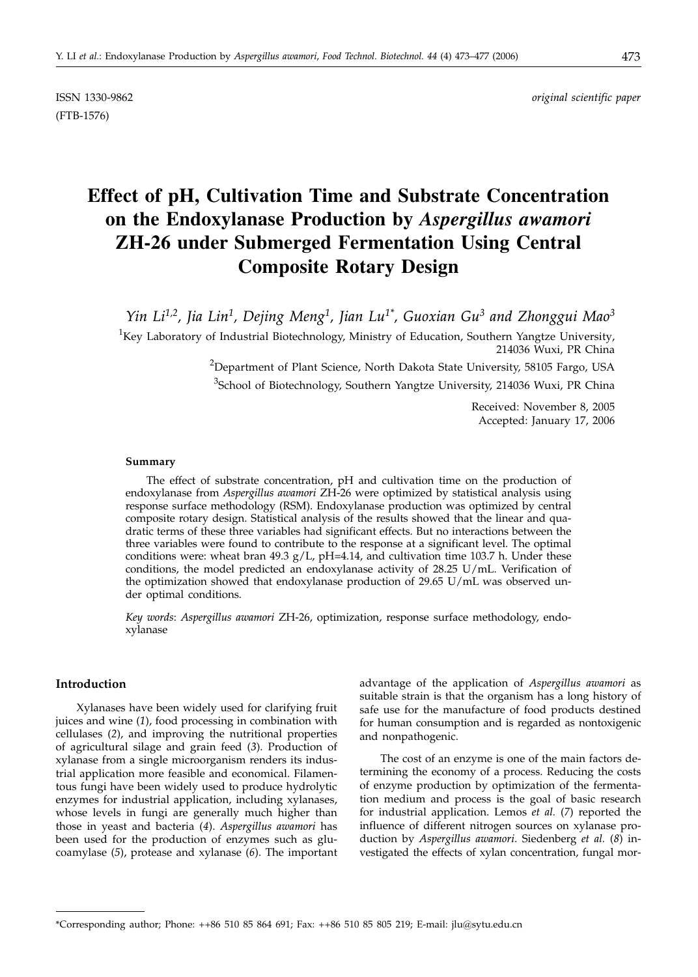(FTB-1576)

ISSN 1330-9862 *original scientific paper*

# **Effect of pH, Cultivation Time and Substrate Concentration on the Endoxylanase Production by** *Aspergillus awamori* **ZH-26 under Submerged Fermentation Using Central Composite Rotary Design**

*Yin Li1,2, Jia Lin1, Dejing Meng1, Jian Lu1\*, Guoxian Gu3 and Zhonggui Mao3*

 ${}^{1}$ Key Laboratory of Industrial Biotechnology, Ministry of Education, Southern Yangtze University, 214036 Wuxi, PR China

> <sup>2</sup>Department of Plant Science, North Dakota State University, 58105 Fargo, USA <sup>3</sup>School of Biotechnology, Southern Yangtze University, 214036 Wuxi, PR China

> > Received: November 8, 2005 Accepted: January 17, 2006

#### **Summary**

The effect of substrate concentration, pH and cultivation time on the production of endoxylanase from *Aspergillus awamori* ZH-26 were optimized by statistical analysis using response surface methodology (RSM). Endoxylanase production was optimized by central composite rotary design. Statistical analysis of the results showed that the linear and quadratic terms of these three variables had significant effects. But no interactions between the three variables were found to contribute to the response at a significant level. The optimal conditions were: wheat bran 49.3  $g/L$ , pH=4.14, and cultivation time 103.7 h. Under these conditions, the model predicted an endoxylanase activity of 28.25 U/mL. Verification of the optimization showed that endoxylanase production of 29.65 U/mL was observed under optimal conditions.

*Key words*: *Aspergillus awamori* ZH-26, optimization, response surface methodology, endoxylanase

## **Introduction**

Xylanases have been widely used for clarifying fruit juices and wine (*1*), food processing in combination with cellulases (*2*), and improving the nutritional properties of agricultural silage and grain feed (*3*). Production of xylanase from a single microorganism renders its industrial application more feasible and economical. Filamentous fungi have been widely used to produce hydrolytic enzymes for industrial application, including xylanases, whose levels in fungi are generally much higher than those in yeast and bacteria (*4*). *Aspergillus awamori* has been used for the production of enzymes such as glucoamylase (*5*), protease and xylanase (*6*). The important

advantage of the application of *Aspergillus awamori* as suitable strain is that the organism has a long history of safe use for the manufacture of food products destined for human consumption and is regarded as nontoxigenic and nonpathogenic.

The cost of an enzyme is one of the main factors determining the economy of a process. Reducing the costs of enzyme production by optimization of the fermentation medium and process is the goal of basic research for industrial application. Lemos *et al.* (*7*) reported the influence of different nitrogen sources on xylanase production by *Aspergillus awamori*. Siedenberg *et al.* (*8*) investigated the effects of xylan concentration, fungal mor-

<sup>\*</sup>Corresponding author; Phone: ++86 510 85 864 691; Fax: ++86 510 85 805 219; E-mail: jlu*@*sytu.edu.cn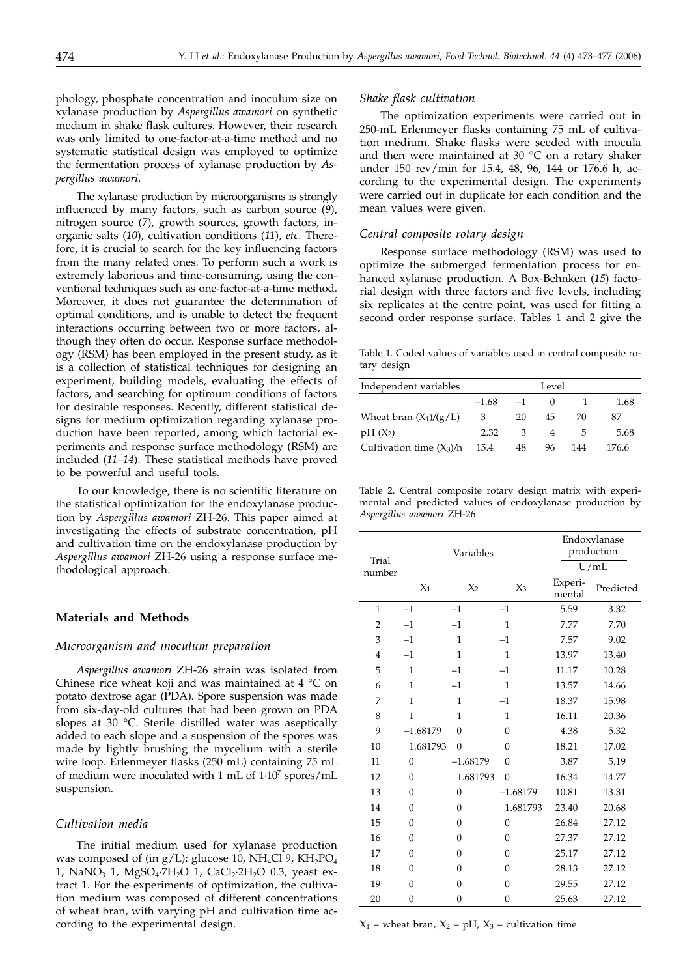phology, phosphate concentration and inoculum size on xylanase production by *Aspergillus awamori* on synthetic medium in shake flask cultures. However, their research was only limited to one-factor-at-a-time method and no systematic statistical design was employed to optimize the fermentation process of xylanase production by *Aspergillus awamori*.

The xylanase production by microorganisms is strongly influenced by many factors, such as carbon source (*9*), nitrogen source (*7*), growth sources, growth factors, inorganic salts (*10*), cultivation conditions (*11*), *etc*. Therefore, it is crucial to search for the key influencing factors from the many related ones. To perform such a work is extremely laborious and time-consuming, using the conventional techniques such as one-factor-at-a-time method. Moreover, it does not guarantee the determination of optimal conditions, and is unable to detect the frequent interactions occurring between two or more factors, although they often do occur. Response surface methodology (RSM) has been employed in the present study, as it is a collection of statistical techniques for designing an experiment, building models, evaluating the effects of factors, and searching for optimum conditions of factors for desirable responses. Recently, different statistical designs for medium optimization regarding xylanase production have been reported, among which factorial experiments and response surface methodology (RSM) are included (*11–14*). These statistical methods have proved to be powerful and useful tools.

To our knowledge, there is no scientific literature on the statistical optimization for the endoxylanase production by *Aspergillus awamori* ZH-26. This paper aimed at investigating the effects of substrate concentration, pH and cultivation time on the endoxylanase production by *Aspergillus awamori* ZH-26 using a response surface methodological approach.

# **Materials and Methods**

#### *Microorganism and inoculum preparation*

*Aspergillus awamori* ZH-26 strain was isolated from Chinese rice wheat koji and was maintained at 4 °C on potato dextrose agar (PDA). Spore suspension was made from six-day-old cultures that had been grown on PDA slopes at 30 °C. Sterile distilled water was aseptically added to each slope and a suspension of the spores was made by lightly brushing the mycelium with a sterile wire loop. Erlenmeyer flasks (250 mL) containing 75 mL of medium were inoculated with 1 mL of 1·107 spores/mL suspension.

## *Cultivation media*

The initial medium used for xylanase production was composed of (in  $g/L$ ): glucose 10, NH<sub>4</sub>Cl 9, KH<sub>2</sub>PO<sub>4</sub> 1, NaNO<sub>3</sub> 1, MgSO<sub>4</sub>·7H<sub>2</sub>O 1, CaCl<sub>2</sub>·2H<sub>2</sub>O 0.3, yeast extract 1. For the experiments of optimization, the cultivation medium was composed of different concentrations of wheat bran, with varying pH and cultivation time according to the experimental design.

### *Shake flask cultivation*

The optimization experiments were carried out in 250-mL Erlenmeyer flasks containing 75 mL of cultivation medium. Shake flasks were seeded with inocula and then were maintained at 30  $^{\circ}$ C on a rotary shaker under 150 rev/min for 15.4, 48, 96, 144 or 176.6 h, according to the experimental design. The experiments were carried out in duplicate for each condition and the mean values were given.

# *Central composite rotary design*

Response surface methodology (RSM) was used to optimize the submerged fermentation process for enhanced xylanase production. A Box-Behnken (*15*) factorial design with three factors and five levels, including six replicates at the centre point, was used for fitting a second order response surface. Tables 1 and 2 give the

Table 1. Coded values of variables used in central composite rotary design

| Independent variables      | Level   |      |    |     |       |
|----------------------------|---------|------|----|-----|-------|
|                            | $-1.68$ | $-1$ |    |     | 1.68  |
| Wheat bran $(X_1)/(g/L)$   | 3       | 20   | 45 | 70  | 87    |
| $pH(X_2)$                  | 2.32    | 3    |    | 5   | 5.68  |
| Cultivation time $(X_3)/h$ | 15.4    | 48   | 96 | 144 | 176.6 |

Table 2. Central composite rotary design matrix with experimental and predicted values of endoxylanase production by *Aspergillus awamori* ZH-26

| Trial        | Variables      |                |                | Endoxylanase<br>production |           |  |  |
|--------------|----------------|----------------|----------------|----------------------------|-----------|--|--|
| number       |                |                |                |                            | U/mL      |  |  |
|              | $X_1$          | X <sub>2</sub> | $X_3$          | Experi-<br>mental          | Predicted |  |  |
| $\mathbf{1}$ | $-1$           | $-1$           | $-1$           | 5.59                       | 3.32      |  |  |
| 2            | $-1$           | $-1$           | 1              | 7.77                       | 7.70      |  |  |
| 3            | $-1$           | $\mathbf{1}$   | $-1$           | 7.57                       | 9.02      |  |  |
| 4            | $-1$           | $\mathbf{1}$   | $\mathbf{1}$   | 13.97                      | 13.40     |  |  |
| 5            | $\mathbf{1}$   | $-1$           | $-1$           | 11.17                      | 10.28     |  |  |
| 6            | $\mathbf{1}$   | $-1$           | $\mathbf{1}$   | 13.57                      | 14.66     |  |  |
| 7            | 1              | 1              | $-1$           | 18.37                      | 15.98     |  |  |
| 8            | $\mathbf{1}$   | 1              | 1              | 16.11                      | 20.36     |  |  |
| 9            | $-1.68179$     | $\Omega$       | $\Omega$       | 4.38                       | 5.32      |  |  |
| 10           | 1.681793       | $\overline{0}$ | $\overline{0}$ | 18.21                      | 17.02     |  |  |
| 11           | $\mathbf{0}$   | $-1.68179$     | $\Omega$       | 3.87                       | 5.19      |  |  |
| 12           | $\Omega$       | 1.681793       | $\overline{0}$ | 16.34                      | 14.77     |  |  |
| 13           | $\overline{0}$ | $\overline{0}$ | $-1.68179$     | 10.81                      | 13.31     |  |  |
| 14           | $\overline{0}$ | $\overline{0}$ | 1.681793       | 23.40                      | 20.68     |  |  |
| 15           | $\overline{0}$ | $\overline{0}$ | $\overline{0}$ | 26.84                      | 27.12     |  |  |
| 16           | $\overline{0}$ | $\overline{0}$ | $\overline{0}$ | 27.37                      | 27.12     |  |  |
| 17           | $\overline{0}$ | $\overline{0}$ | $\overline{0}$ | 25.17                      | 27.12     |  |  |
| 18           | $\Omega$       | $\overline{0}$ | $\Omega$       | 28.13                      | 27.12     |  |  |
| 19           | $\Omega$       | $\overline{0}$ | $\Omega$       | 29.55                      | 27.12     |  |  |
| 20           | $\mathbf{0}$   | $\mathbf{0}$   | 0              | 25.63                      | 27.12     |  |  |

 $X_1$  – wheat bran,  $X_2$  – pH,  $X_3$  – cultivation time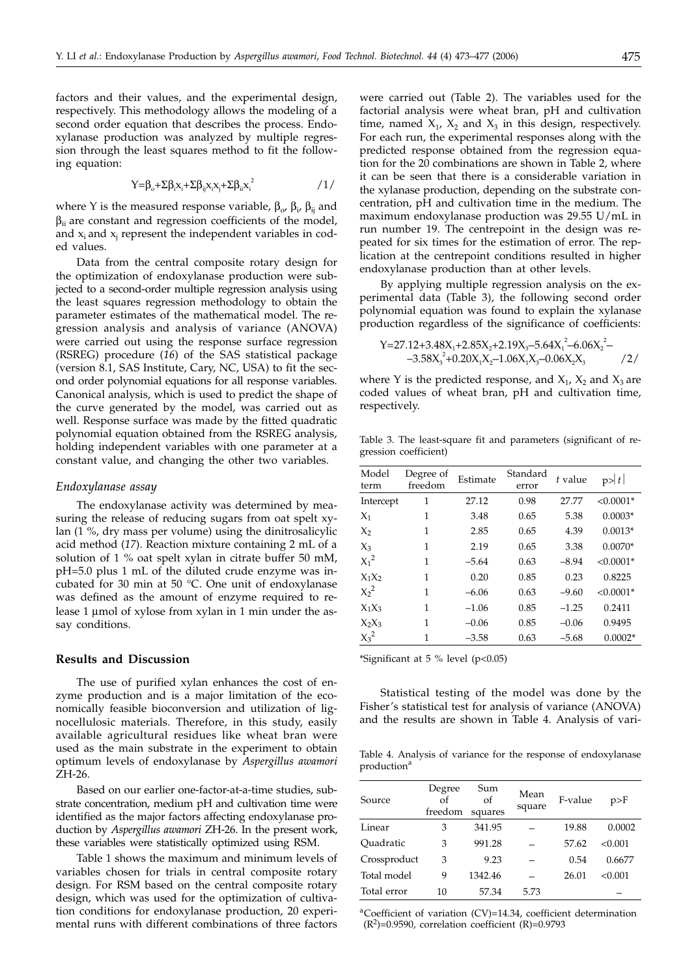factors and their values, and the experimental design, respectively. This methodology allows the modeling of a second order equation that describes the process. Endoxylanase production was analyzed by multiple regression through the least squares method to fit the following equation:

$$
Y=\beta_{o}+\Sigma\beta_{i}x_{i}+\Sigma\beta_{ij}x_{i}x_{j}+\Sigma\beta_{ii}x_{i}^{2}
$$

where Y is the measured response variable,  $β_0$ ,  $β_i$ ,  $β_{ij}$  and  $β$ <sub>ii</sub> are constant and regression coefficients of the model, and  $x_i$  and  $x_j$  represent the independent variables in coded values.

Data from the central composite rotary design for the optimization of endoxylanase production were subjected to a second-order multiple regression analysis using the least squares regression methodology to obtain the parameter estimates of the mathematical model. The regression analysis and analysis of variance (ANOVA) were carried out using the response surface regression (RSREG) procedure (*16*) of the SAS statistical package (version 8.1, SAS Institute, Cary, NC, USA) to fit the second order polynomial equations for all response variables. Canonical analysis, which is used to predict the shape of the curve generated by the model, was carried out as well. Response surface was made by the fitted quadratic polynomial equation obtained from the RSREG analysis, holding independent variables with one parameter at a constant value, and changing the other two variables.

#### *Endoxylanase assay*

The endoxylanase activity was determined by measuring the release of reducing sugars from oat spelt xylan (1 %, dry mass per volume) using the dinitrosalicylic acid method (*17*). Reaction mixture containing 2 mL of a solution of 1 % oat spelt xylan in citrate buffer 50 mM, pH=5.0 plus 1 mL of the diluted crude enzyme was incubated for 30 min at 50 °C. One unit of endoxylanase was defined as the amount of enzyme required to release 1 µmol of xylose from xylan in 1 min under the assay conditions.

# **Results and Discussion**

The use of purified xylan enhances the cost of enzyme production and is a major limitation of the economically feasible bioconversion and utilization of lignocellulosic materials. Therefore, in this study, easily available agricultural residues like wheat bran were used as the main substrate in the experiment to obtain optimum levels of endoxylanase by *Aspergillus awamori* ZH-26.

Based on our earlier one-factor-at-a-time studies, substrate concentration, medium pH and cultivation time were identified as the major factors affecting endoxylanase production by *Aspergillus awamori* ZH-26. In the present work, these variables were statistically optimized using RSM.

Table 1 shows the maximum and minimum levels of variables chosen for trials in central composite rotary design. For RSM based on the central composite rotary design, which was used for the optimization of cultivation conditions for endoxylanase production, 20 experimental runs with different combinations of three factors

were carried out (Table 2). The variables used for the factorial analysis were wheat bran, pH and cultivation time, named  $X_1$ ,  $X_2$  and  $X_3$  in this design, respectively. For each run, the experimental responses along with the predicted response obtained from the regression equation for the 20 combinations are shown in Table 2, where it can be seen that there is a considerable variation in the xylanase production, depending on the substrate concentration, pH and cultivation time in the medium. The maximum endoxylanase production was 29.55 U/mL in run number 19. The centrepoint in the design was repeated for six times for the estimation of error. The replication at the centrepoint conditions resulted in higher endoxylanase production than at other levels.

By applying multiple regression analysis on the experimental data (Table 3), the following second order polynomial equation was found to explain the xylanase production regardless of the significance of coefficients:

$$
Y=27.12+3.48X_1+2.85X_2+2.19X_3-5.64X_1^2-6.06X_2^2--3.58X_3^2+0.20X_1X_2-1.06X_1X_3-0.06X_2X_3
$$
 /2/

where Y is the predicted response, and  $X_1$ ,  $X_2$  and  $X_3$  are coded values of wheat bran, pH and cultivation time, respectively.

Table 3. The least-square fit and parameters (significant of regression coefficient)

| Model<br>term | Degree of<br>freedom | Estimate | Standard<br>error | t value | p> t        |
|---------------|----------------------|----------|-------------------|---------|-------------|
| Intercept     | 1                    | 27.12    | 0.98              | 27.77   | $< 0.0001*$ |
| $X_1$         | 1                    | 3.48     | 0.65              | 5.38    | $0.0003*$   |
| $X_2$         | 1                    | 2.85     | 0.65              | 4.39    | $0.0013*$   |
| $X_3$         | 1                    | 2.19     | 0.65              | 3.38    | $0.0070*$   |
| $X_1^2$       | 1                    | $-5.64$  | 0.63              | $-8.94$ | $< 0.0001*$ |
| $X_1X_2$      | 1                    | 0.20     | 0.85              | 0.23    | 0.8225      |
| $X_2^2$       | 1                    | $-6.06$  | 0.63              | $-9.60$ | $< 0.0001*$ |
| $X_1X_3$      | 1                    | $-1.06$  | 0.85              | $-1.25$ | 0.2411      |
| $X_2X_3$      | 1                    | $-0.06$  | 0.85              | $-0.06$ | 0.9495      |
| $X_3^2$       | 1                    | $-3.58$  | 0.63              | $-5.68$ | $0.0002*$   |

\*Significant at 5 % level (p<0.05)

Statistical testing of the model was done by the Fisher's statistical test for analysis of variance (ANOVA) and the results are shown in Table 4. Analysis of vari-

Table 4. Analysis of variance for the response of endoxylanase  $production<sup>2</sup>$ 

| Source       | Degree<br>$\alpha$ f<br>freedom | Sum<br>of<br>squares | Mean<br>square | F-value | p>F     |
|--------------|---------------------------------|----------------------|----------------|---------|---------|
| Linear       | 3                               | 341.95               |                | 19.88   | 0.0002  |
| Ouadratic    | 3                               | 991.28               |                | 57.62   | < 0.001 |
| Crossproduct | 3                               | 9.23                 |                | 0.54    | 0.6677  |
| Total model  | 9                               | 1342.46              |                | 26.01   | < 0.001 |
| Total error  | 10                              | 57.34                | 5.73           |         |         |

aCoefficient of variation (CV)=14.34, coefficient determination  $(R^2)$ =0.9590, correlation coefficient  $(R)$ =0.9793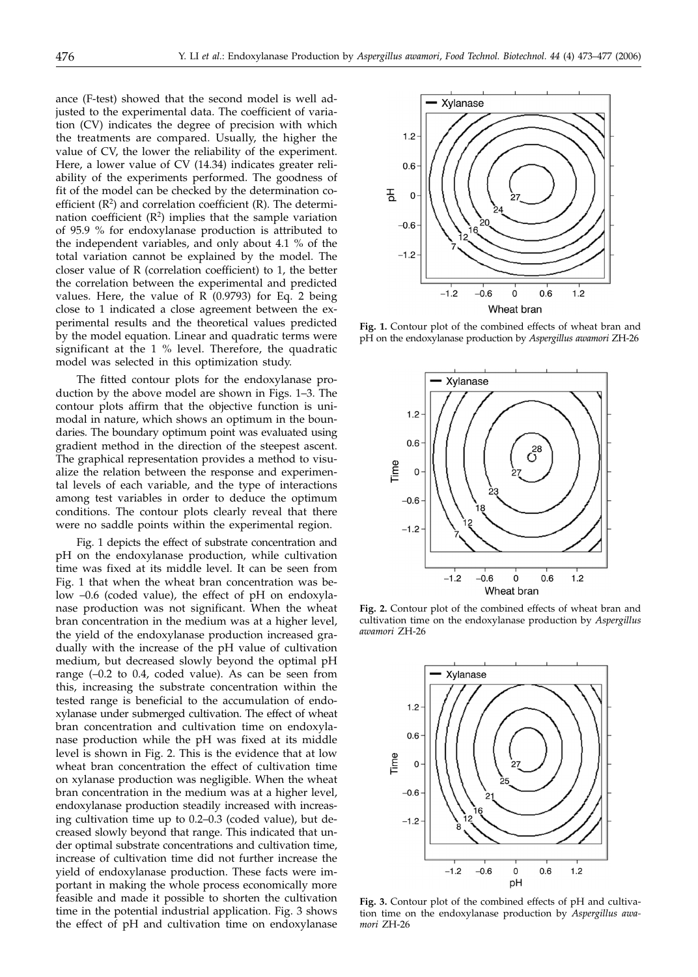ance (F-test) showed that the second model is well adjusted to the experimental data. The coefficient of variation (CV) indicates the degree of precision with which the treatments are compared. Usually, the higher the value of CV, the lower the reliability of the experiment. Here, a lower value of CV (14.34) indicates greater reliability of the experiments performed. The goodness of fit of the model can be checked by the determination coefficient  $(R^2)$  and correlation coefficient  $(R)$ . The determination coefficient  $(R^2)$  implies that the sample variation of 95.9 % for endoxylanase production is attributed to the independent variables, and only about 4.1 % of the total variation cannot be explained by the model. The closer value of R (correlation coefficient) to 1, the better the correlation between the experimental and predicted values. Here, the value of  $\overline{R}$  (0.9793) for Eq. 2 being close to 1 indicated a close agreement between the experimental results and the theoretical values predicted by the model equation. Linear and quadratic terms were significant at the 1 % level. Therefore, the quadratic model was selected in this optimization study.

The fitted contour plots for the endoxylanase production by the above model are shown in Figs. 1–3. The contour plots affirm that the objective function is unimodal in nature, which shows an optimum in the boundaries. The boundary optimum point was evaluated using gradient method in the direction of the steepest ascent. The graphical representation provides a method to visualize the relation between the response and experimental levels of each variable, and the type of interactions among test variables in order to deduce the optimum conditions. The contour plots clearly reveal that there were no saddle points within the experimental region.

Fig. 1 depicts the effect of substrate concentration and pH on the endoxylanase production, while cultivation time was fixed at its middle level. It can be seen from Fig. 1 that when the wheat bran concentration was below –0.6 (coded value), the effect of pH on endoxylanase production was not significant. When the wheat bran concentration in the medium was at a higher level, the yield of the endoxylanase production increased gradually with the increase of the pH value of cultivation medium, but decreased slowly beyond the optimal pH range (–0.2 to 0.4, coded value). As can be seen from this, increasing the substrate concentration within the tested range is beneficial to the accumulation of endoxylanase under submerged cultivation. The effect of wheat bran concentration and cultivation time on endoxylanase production while the pH was fixed at its middle level is shown in Fig. 2. This is the evidence that at low wheat bran concentration the effect of cultivation time on xylanase production was negligible. When the wheat bran concentration in the medium was at a higher level, endoxylanase production steadily increased with increasing cultivation time up to 0.2–0.3 (coded value), but decreased slowly beyond that range. This indicated that under optimal substrate concentrations and cultivation time, increase of cultivation time did not further increase the yield of endoxylanase production. These facts were important in making the whole process economically more feasible and made it possible to shorten the cultivation time in the potential industrial application. Fig. 3 shows the effect of pH and cultivation time on endoxylanase



**Fig. 1.** Contour plot of the combined effects of wheat bran and pH on the endoxylanase production by *Aspergillus awamori* ZH-26



**Fig. 2.** Contour plot of the combined effects of wheat bran and cultivation time on the endoxylanase production by *Aspergillus awamori* ZH-26



**Fig. 3.** Contour plot of the combined effects of pH and cultivation time on the endoxylanase production by *Aspergillus awamori* ZH-26